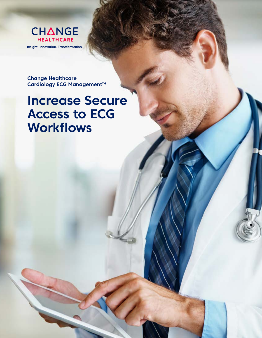

**Change Healthcare Cardiology ECG Management™**

## **Increase Secure Access to ECG Workflows**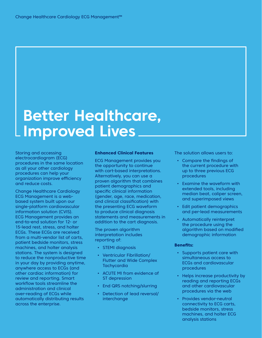# **Better Healthcare, Improved Lives**

Storing and accessing electrocardiogram (ECG) procedures in the same location as all your other cardiology procedures can help your organization improve efficiency and reduce costs.

Change Healthcare Cardiology ECG Management is a webbased system built upon our single-platform cardiovascular information solution (CVIS). ECG Management provides an end-to-end solution for 12- or 15-lead rest, stress, and holter ECGs. These ECGs are received from a multi-vendor list of carts, patient bedside monitors, stress machines, and holter analysis stations. The system is designed to reduce the nonproductive time in your day by providing anytime, anywhere access to ECGs (and other cardiac information) for review and reporting. Smart workflow tools streamline the administration and clinical over-reading of ECGs while automatically distributing results across the enterprise.

### **Enhanced Clinical Features**

ECG Management provides you the opportunity to continue with cart-based interpretations. Alternatively, you can use a proven algorithm that combines patient demographics and specific clinical information (gender, age, race, medication, and clinical classification) with the presenting ECG waveform to produce clinical diagnosis statements and measurements in addition to the cart diagnosis.

The proven algorithm interpretation includes reporting of:

- • STEMI diagnosis
- • Ventricular Fibrillation/ Flutter and Wide Complex **Tachycardia**
- • ACUTE MI from evidence of ST depression
- • End QRS notching/slurring
- Detection of lead reversal/ interchange

The solution allows users to:

- • Compare the findings of the current procedure with up to three previous ECG procedures
- • Examine the waveform with extended tools, including median beat, caliper screen, and superimposed views
- • Edit patient demographics and per-lead measurements
- • Automatically reinterpret the procedure using the algorithm based on modified demographic information

### **Benefits:**

- • Supports patient care with simultaneous access to ECGs and cardiovascular procedures
- Helps increase productivity by reading and reporting ECGs and other cardiovascular procedures via the web
- • Provides vendor-neutral connectivity to ECG carts, bedside monitors, stress machines, and holter ECG analysis stations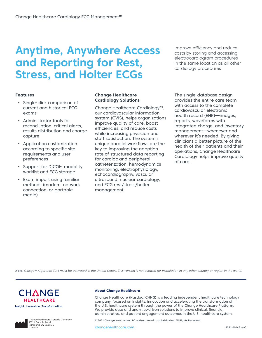### **Anytime, Anywhere Access and Reporting for Rest, Stress, and Holter ECGs**

Improve efficiency and reduce costs by storing and accessing electrocardiogram procedures in the same location as all other cardiology procedures

### **Features**

- • Single-click comparison of current and historical ECG exams
- • Administrator tools for reconciliation, critical alerts, results distribution and charge capture
- • Application customization according to specific site requirements and user preferences
- Support for DICOM modality worklist and ECG storage
- Exam import using familiar methods (modem, network connection, or portable media)

### **Change Healthcare Cardiology Solutions**

Change Healthcare Cardiology™, our cardiovascular information system (CVIS), helps organizations improve quality of care, boost efficiencies, and reduce costs while increasing physician and staff satisfaction. The system's unique parallel workflows are the key to improving the adoption rate of structured data reporting for cardiac and peripheral catheterization, hemodynamics monitoring, electrophysiology, echocardiography, vascular ultrasound, nuclear cardiology, and ECG rest/stress/holter management.

The single-database design provides the entire care team with access to the complete cardiovascular electronic health record (EHR)—images, reports, waveforms with integrated charge, and inventory management—whenever and wherever it's needed. By giving clinicians a better picture of the health of their patients and their operations, Change Healthcare Cardiology helps improve quality of care.

Note: Glasgow Algorithm 30.4 must be activated in the United States. This version is not allowed for installation in any other country or region in the world.



Insight. Innovation. Transformation.



Change Healthcare Canada Company<br>10711 Cambie Road<br>Richmond, BC V6X 3G5 Canada

#### **About Change Healthcare**

Change Healthcare (Nasdaq: CHNG) is a leading independent healthcare technology company, focused on insights, innovation and accelerating the transformation of the U.S. healthcare system through the power of the Change Healthcare Platform. We provide data and analytics-driven solutions to improve clinical, financial, administrative, and patient engagement outcomes in the U.S. healthcare system.

© 2021 Change Healthcare LLC and/or one of its subsidiaries. All Rights Reserved.

changehealthcare.com 2021-40448 rev3